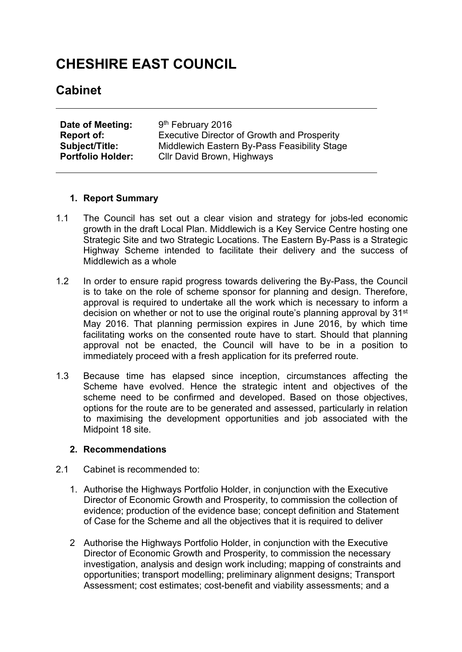# **CHESHIRE EAST COUNCIL**

## **Cabinet**

| Date of Meeting:         | 9 <sup>th</sup> February 2016                |
|--------------------------|----------------------------------------------|
| Report of:               | Executive Director of Growth and Prosperity  |
| <b>Subject/Title:</b>    | Middlewich Eastern By-Pass Feasibility Stage |
| <b>Portfolio Holder:</b> | Cllr David Brown, Highways                   |

#### **1. Report Summary**

- 1.1 The Council has set out a clear vision and strategy for jobs-led economic growth in the draft Local Plan. Middlewich is a Key Service Centre hosting one Strategic Site and two Strategic Locations. The Eastern By-Pass is a Strategic Highway Scheme intended to facilitate their delivery and the success of Middlewich as a whole
- 1.2 In order to ensure rapid progress towards delivering the By-Pass, the Council is to take on the role of scheme sponsor for planning and design. Therefore, approval is required to undertake all the work which is necessary to inform a decision on whether or not to use the original route's planning approval by 31<sup>st</sup> May 2016. That planning permission expires in June 2016, by which time facilitating works on the consented route have to start. Should that planning approval not be enacted, the Council will have to be in a position to immediately proceed with a fresh application for its preferred route.
- 1.3 Because time has elapsed since inception, circumstances affecting the Scheme have evolved. Hence the strategic intent and objectives of the scheme need to be confirmed and developed. Based on those objectives, options for the route are to be generated and assessed, particularly in relation to maximising the development opportunities and job associated with the Midpoint 18 site.

#### **2. Recommendations**

- 2.1 Cabinet is recommended to:
	- 1. Authorise the Highways Portfolio Holder, in conjunction with the Executive Director of Economic Growth and Prosperity, to commission the collection of evidence; production of the evidence base; concept definition and Statement of Case for the Scheme and all the objectives that it is required to deliver
	- 2 Authorise the Highways Portfolio Holder, in conjunction with the Executive Director of Economic Growth and Prosperity, to commission the necessary investigation, analysis and design work including; mapping of constraints and opportunities; transport modelling; preliminary alignment designs; Transport Assessment; cost estimates; cost-benefit and viability assessments; and a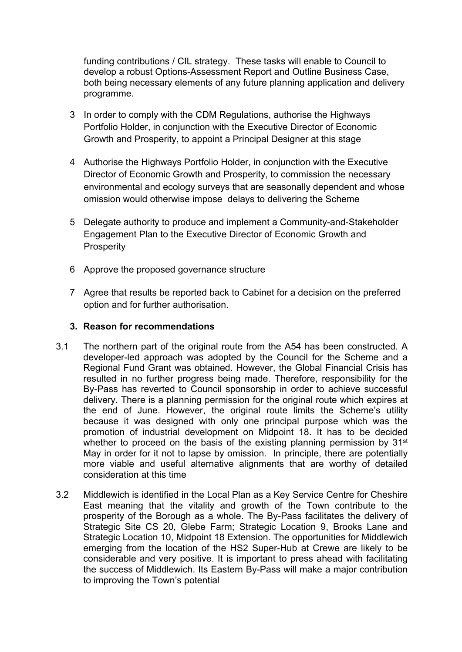funding contributions / CIL strategy. These tasks will enable to Council to develop a robust Options-Assessment Report and Outline Business Case, both being necessary elements of any future planning application and delivery programme.

- 3 In order to comply with the CDM Regulations, authorise the Highways Portfolio Holder, in conjunction with the Executive Director of Economic Growth and Prosperity, to appoint a Principal Designer at this stage
- 4 Authorise the Highways Portfolio Holder, in conjunction with the Executive Director of Economic Growth and Prosperity, to commission the necessary environmental and ecology surveys that are seasonally dependent and whose omission would otherwise impose delays to delivering the Scheme
- 5 Delegate authority to produce and implement a Community-and-Stakeholder Engagement Plan to the Executive Director of Economic Growth and **Prosperity**
- 6 Approve the proposed governance structure
- 7 Agree that results be reported back to Cabinet for a decision on the preferred option and for further authorisation.

#### **3. Reason for recommendations**

- 3.1 The northern part of the original route from the A54 has been constructed. A developer-led approach was adopted by the Council for the Scheme and a Regional Fund Grant was obtained. However, the Global Financial Crisis has resulted in no further progress being made. Therefore, responsibility for the By-Pass has reverted to Council sponsorship in order to achieve successful delivery. There is a planning permission for the original route which expires at the end of June. However, the original route limits the Scheme's utility because it was designed with only one principal purpose which was the promotion of industrial development on Midpoint 18. It has to be decided whether to proceed on the basis of the existing planning permission by 31<sup>st</sup> May in order for it not to lapse by omission. In principle, there are potentially more viable and useful alternative alignments that are worthy of detailed consideration at this time
- 3.2 Middlewich is identified in the Local Plan as a Key Service Centre for Cheshire East meaning that the vitality and growth of the Town contribute to the prosperity of the Borough as a whole. The By-Pass facilitates the delivery of Strategic Site CS 20, Glebe Farm; Strategic Location 9, Brooks Lane and Strategic Location 10, Midpoint 18 Extension. The opportunities for Middlewich emerging from the location of the HS2 Super-Hub at Crewe are likely to be considerable and very positive. It is important to press ahead with facilitating the success of Middlewich. Its Eastern By-Pass will make a major contribution to improving the Town's potential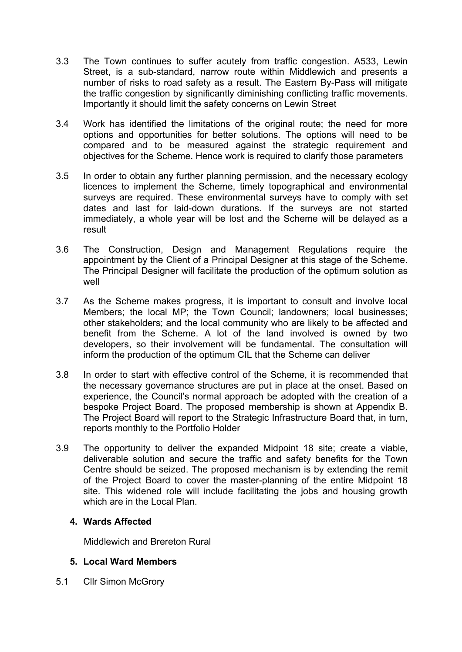- 3.3 The Town continues to suffer acutely from traffic congestion. A533, Lewin Street, is a sub-standard, narrow route within Middlewich and presents a number of risks to road safety as a result. The Eastern By-Pass will mitigate the traffic congestion by significantly diminishing conflicting traffic movements. Importantly it should limit the safety concerns on Lewin Street
- 3.4 Work has identified the limitations of the original route; the need for more options and opportunities for better solutions. The options will need to be compared and to be measured against the strategic requirement and objectives for the Scheme. Hence work is required to clarify those parameters
- 3.5 In order to obtain any further planning permission, and the necessary ecology licences to implement the Scheme, timely topographical and environmental surveys are required. These environmental surveys have to comply with set dates and last for laid-down durations. If the surveys are not started immediately, a whole year will be lost and the Scheme will be delayed as a result
- 3.6 The Construction, Design and Management Regulations require the appointment by the Client of a Principal Designer at this stage of the Scheme. The Principal Designer will facilitate the production of the optimum solution as well
- 3.7 As the Scheme makes progress, it is important to consult and involve local Members; the local MP; the Town Council; landowners; local businesses; other stakeholders; and the local community who are likely to be affected and benefit from the Scheme. A lot of the land involved is owned by two developers, so their involvement will be fundamental. The consultation will inform the production of the optimum CIL that the Scheme can deliver
- 3.8 In order to start with effective control of the Scheme, it is recommended that the necessary governance structures are put in place at the onset. Based on experience, the Council's normal approach be adopted with the creation of a bespoke Project Board. The proposed membership is shown at Appendix B. The Project Board will report to the Strategic Infrastructure Board that, in turn, reports monthly to the Portfolio Holder
- 3.9 The opportunity to deliver the expanded Midpoint 18 site; create a viable, deliverable solution and secure the traffic and safety benefits for the Town Centre should be seized. The proposed mechanism is by extending the remit of the Project Board to cover the master-planning of the entire Midpoint 18 site. This widened role will include facilitating the jobs and housing growth which are in the Local Plan.

#### **4. Wards Affected**

Middlewich and Brereton Rural

### **5. Local Ward Members**

5.1 Cllr Simon McGrory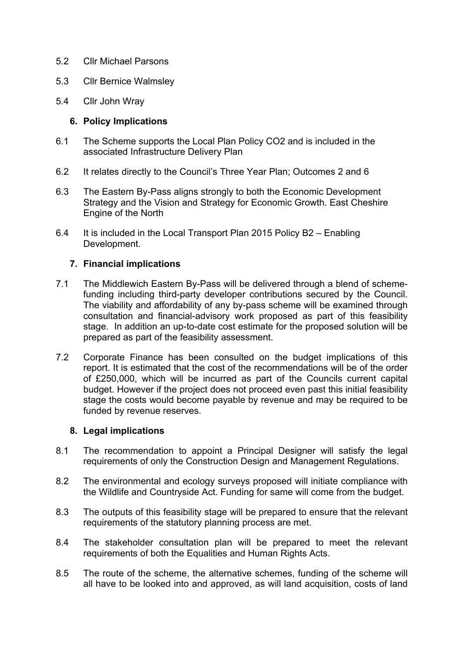- 5.2 Cllr Michael Parsons
- 5.3 Cllr Bernice Walmsley
- 5.4 Cllr John Wray

#### **6. Policy Implications**

- 6.1 The Scheme supports the Local Plan Policy CO2 and is included in the associated Infrastructure Delivery Plan
- 6.2 It relates directly to the Council's Three Year Plan; Outcomes 2 and 6
- 6.3 The Eastern By-Pass aligns strongly to both the Economic Development Strategy and the Vision and Strategy for Economic Growth. East Cheshire Engine of the North
- 6.4 It is included in the Local Transport Plan 2015 Policy B2 Enabling Development.

#### **7. Financial implications**

- 7.1 The Middlewich Eastern By-Pass will be delivered through a blend of schemefunding including third-party developer contributions secured by the Council. The viability and affordability of any by-pass scheme will be examined through consultation and financial-advisory work proposed as part of this feasibility stage. In addition an up-to-date cost estimate for the proposed solution will be prepared as part of the feasibility assessment.
- 7.2 Corporate Finance has been consulted on the budget implications of this report. It is estimated that the cost of the recommendations will be of the order of £250,000, which will be incurred as part of the Councils current capital budget. However if the project does not proceed even past this initial feasibility stage the costs would become payable by revenue and may be required to be funded by revenue reserves.

#### **8. Legal implications**

- 8.1 The recommendation to appoint a Principal Designer will satisfy the legal requirements of only the Construction Design and Management Regulations.
- 8.2 The environmental and ecology surveys proposed will initiate compliance with the Wildlife and Countryside Act. Funding for same will come from the budget.
- 8.3 The outputs of this feasibility stage will be prepared to ensure that the relevant requirements of the statutory planning process are met.
- 8.4 The stakeholder consultation plan will be prepared to meet the relevant requirements of both the Equalities and Human Rights Acts.
- 8.5 The route of the scheme, the alternative schemes, funding of the scheme will all have to be looked into and approved, as will land acquisition, costs of land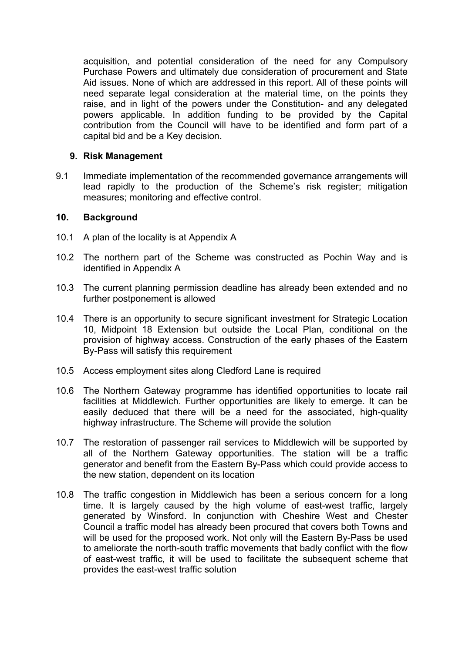acquisition, and potential consideration of the need for any Compulsory Purchase Powers and ultimately due consideration of procurement and State Aid issues. None of which are addressed in this report. All of these points will need separate legal consideration at the material time, on the points they raise, and in light of the powers under the Constitution- and any delegated powers applicable. In addition funding to be provided by the Capital contribution from the Council will have to be identified and form part of a capital bid and be a Key decision.

#### **9. Risk Management**

9.1 Immediate implementation of the recommended governance arrangements will lead rapidly to the production of the Scheme's risk register; mitigation measures; monitoring and effective control.

#### **10. Background**

- 10.1 A plan of the locality is at Appendix A
- 10.2 The northern part of the Scheme was constructed as Pochin Way and is identified in Appendix A
- 10.3 The current planning permission deadline has already been extended and no further postponement is allowed
- 10.4 There is an opportunity to secure significant investment for Strategic Location 10, Midpoint 18 Extension but outside the Local Plan, conditional on the provision of highway access. Construction of the early phases of the Eastern By-Pass will satisfy this requirement
- 10.5 Access employment sites along Cledford Lane is required
- 10.6 The Northern Gateway programme has identified opportunities to locate rail facilities at Middlewich. Further opportunities are likely to emerge. It can be easily deduced that there will be a need for the associated, high-quality highway infrastructure. The Scheme will provide the solution
- 10.7 The restoration of passenger rail services to Middlewich will be supported by all of the Northern Gateway opportunities. The station will be a traffic generator and benefit from the Eastern By-Pass which could provide access to the new station, dependent on its location
- 10.8 The traffic congestion in Middlewich has been a serious concern for a long time. It is largely caused by the high volume of east-west traffic, largely generated by Winsford. In conjunction with Cheshire West and Chester Council a traffic model has already been procured that covers both Towns and will be used for the proposed work. Not only will the Eastern By-Pass be used to ameliorate the north-south traffic movements that badly conflict with the flow of east-west traffic, it will be used to facilitate the subsequent scheme that provides the east-west traffic solution